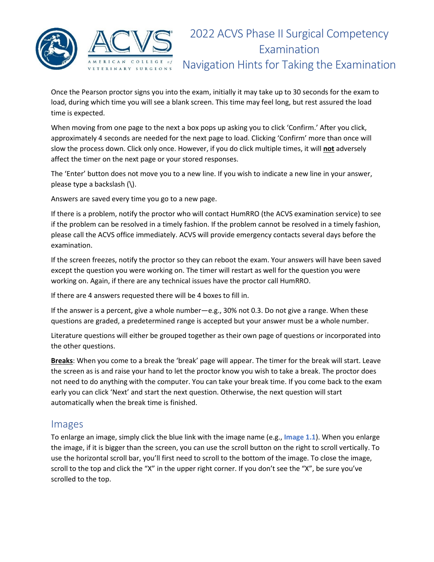

## 2022 ACVS Phase II Surgical Competency Examination Navigation Hints for Taking the Examination

Once the Pearson proctor signs you into the exam, initially it may take up to 30 seconds for the exam to load, during which time you will see a blank screen. This time may feel long, but rest assured the load time is expected.

When moving from one page to the next a box pops up asking you to click 'Confirm.' After you click, approximately 4 seconds are needed for the next page to load. Clicking 'Confirm' more than once will slow the process down. Click only once. However, if you do click multiple times, it will **not** adversely affect the timer on the next page or your stored responses.

The 'Enter' button does not move you to a new line. If you wish to indicate a new line in your answer, please type a backslash (\).

Answers are saved every time you go to a new page.

If there is a problem, notify the proctor who will contact HumRRO (the ACVS examination service) to see if the problem can be resolved in a timely fashion. If the problem cannot be resolved in a timely fashion, please call the ACVS office immediately. ACVS will provide emergency contacts several days before the examination.

If the screen freezes, notify the proctor so they can reboot the exam. Your answers will have been saved except the question you were working on. The timer will restart as well for the question you were working on. Again, if there are any technical issues have the proctor call HumRRO.

If there are 4 answers requested there will be 4 boxes to fill in.

If the answer is a percent, give a whole number—e.g., 30% not 0.3. Do not give a range. When these questions are graded, a predetermined range is accepted but your answer must be a whole number.

Literature questions will either be grouped together as their own page of questions or incorporated into the other questions.

**Breaks**: When you come to a break the 'break' page will appear. The timer for the break will start. Leave the screen as is and raise your hand to let the proctor know you wish to take a break. The proctor does not need to do anything with the computer. You can take your break time. If you come back to the exam early you can click 'Next' and start the next question. Otherwise, the next question will start automatically when the break time is finished.

## Images

To enlarge an image, simply click the blue link with the image name (e.g., **Image 1.1**). When you enlarge the image, if it is bigger than the screen, you can use the scroll button on the right to scroll vertically. To use the horizontal scroll bar, you'll first need to scroll to the bottom of the image. To close the image, scroll to the top and click the "X" in the upper right corner. If you don't see the "X", be sure you've scrolled to the top.